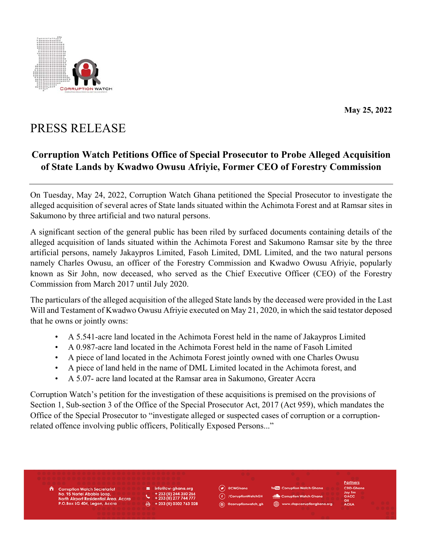

**May 25, 2022** 

## PRESS RELEASE

## **Corruption Watch Petitions Office of Special Prosecutor to Probe Alleged Acquisition of State Lands by Kwadwo Owusu Afriyie, Former CEO of Forestry Commission**

On Tuesday, May 24, 2022, Corruption Watch Ghana petitioned the Special Prosecutor to investigate the alleged acquisition of several acres of State lands situated within the Achimota Forest and at Ramsar sites in Sakumono by three artificial and two natural persons.

A significant section of the general public has been riled by surfaced documents containing details of the alleged acquisition of lands situated within the Achimota Forest and Sakumono Ramsar site by the three artificial persons, namely Jakaypros Limited, Fasoh Limited, DML Limited, and the two natural persons namely Charles Owusu, an officer of the Forestry Commission and Kwadwo Owusu Afriyie, popularly known as Sir John, now deceased, who served as the Chief Executive Officer (CEO) of the Forestry Commission from March 2017 until July 2020.

The particulars of the alleged acquisition of the alleged State lands by the deceased were provided in the Last Will and Testament of Kwadwo Owusu Afriyie executed on May 21, 2020, in which the said testator deposed that he owns or jointly owns:

- A 5.541-acre land located in the Achimota Forest held in the name of Jakaypros Limited
- A 0.987-acre land located in the Achimota Forest held in the name of Fasoh Limited
- A piece of land located in the Achimota Forest jointly owned with one Charles Owusu
- A piece of land held in the name of DML Limited located in the Achimota forest, and
- A 5.07- acre land located at the Ramsar area in Sakumono, Greater Accra

Corruption Watch's petition for the investigation of these acquisitions is premised on the provisions of Section 1, Sub-section 3 of the Office of the Special Prosecutor Act, 2017 (Act 959), which mandates the Office of the Special Prosecutor to "investigate alleged or suspected cases of corruption or a corruptionrelated offence involving public officers, Politically Exposed Persons..."